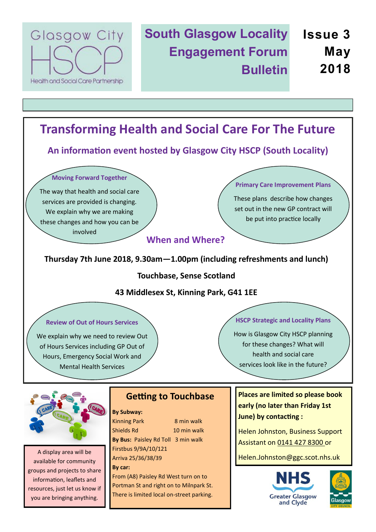

## **South Glasgow Locality Issue 3 Engagement Forum Bulletin May 2018**

# **Transforming Health and Social Care For The Future**

**An information event hosted by Glasgow City HSCP (South Locality)**

**Moving Forward Together**

The way that health and social care services are provided is changing. We explain why we are making these changes and how you can be involved

**Primary Care Improvement Plans**

These plans describe how changes set out in the new GP contract will be put into practice locally

## **When and Where?**

### **Thursday 7th June 2018, 9.30am—1.00pm (including refreshments and lunch)**

**Touchbase, Sense Scotland**

#### **43 Middlesex St, Kinning Park, G41 1EE**

#### **Review of Out of Hours Services**

We explain why we need to review Out of Hours Services including GP Out of Hours, Emergency Social Work and Mental Health Services

#### **HSCP Strategic and Locality Plans**

How is Glasgow City HSCP planning for these changes? What will health and social care services look like in the future?



A display area will be available for community groups and projects to share information, leaflets and resources, just let us know if you are bringing anything.

## **Getting to Touchbase**

#### **By Subway:**

Kinning Park 8 min walk Shields Rd 10 min walk **By Bus:** Paisley Rd Toll 3 min walk Firstbus 9/9A/10/121 Arriva 25/36/38/39 **By car:**

From (A8) Paisley Rd West turn on to Portman St and right on to Milnpark St. There is limited local on-street parking. **Places are limited so please book early (no later than Friday 1st June) by contacting :**

Helen Johnston, Business Support Assistant on 0141 427 8300 or

Helen.Johnston@ggc.scot.nhs.uk



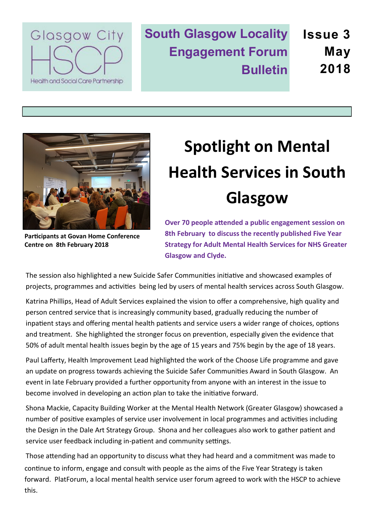

**South Glasgow Locality Engagement Forum Bulletin Issue 3 May 2018**



# **Spotlight on Mental Health Services in South Glasgow**

**Participants at Govan Home Conference Centre on 8th February 2018**

**Over 70 people attended a public engagement session on 8th February to discuss the recently published Five Year Strategy for Adult Mental Health Services for NHS Greater Glasgow and Clyde.** 

The session also highlighted a new Suicide Safer Communities initiative and showcased examples of projects, programmes and activities being led by users of mental health services across South Glasgow.

Katrina Phillips, Head of Adult Services explained the vision to offer a comprehensive, high quality and person centred service that is increasingly community based, gradually reducing the number of inpatient stays and offering mental health patients and service users a wider range of choices, options and treatment. She highlighted the stronger focus on prevention, especially given the evidence that 50% of adult mental health issues begin by the age of 15 years and 75% begin by the age of 18 years.

Paul Lafferty, Health Improvement Lead highlighted the work of the Choose Life programme and gave an update on progress towards achieving the Suicide Safer Communities Award in South Glasgow. An event in late February provided a further opportunity from anyone with an interest in the issue to become involved in developing an action plan to take the initiative forward.

Shona Mackie, Capacity Building Worker at the Mental Health Network (Greater Glasgow) showcased a number of positive examples of service user involvement in local programmes and activities including the Design in the Dale Art Strategy Group. Shona and her colleagues also work to gather patient and service user feedback including in-patient and community settings.

Those attending had an opportunity to discuss what they had heard and a commitment was made to continue to inform, engage and consult with people as the aims of the Five Year Strategy is taken forward. PlatForum, a local mental health service user forum agreed to work with the HSCP to achieve this.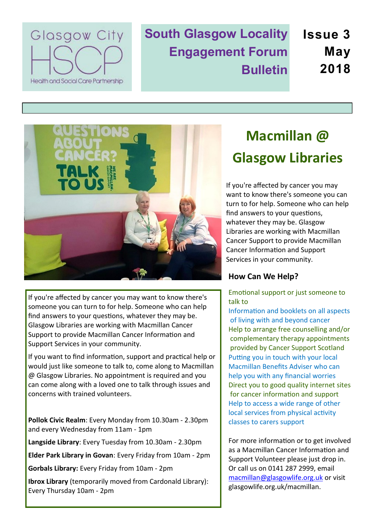

**South Glasgow Locality Engagement Forum Bulletin Issue 3 May 2018**



If you're affected by cancer you may want to know there's someone you can turn to for help. Someone who can help find answers to your questions, whatever they may be. Glasgow Libraries are working with Macmillan Cancer Support to provide Macmillan Cancer Information and Support Services in your community.

If you want to find information, support and practical help or would just like someone to talk to, come along to Macmillan @ Glasgow Libraries. No appointment is required and you can come along with a loved one to talk through issues and concerns with trained volunteers.

**Pollok Civic Realm**: Every Monday from 10.30am - 2.30pm and every Wednesday from 11am - 1pm

**Langside Library**: Every Tuesday from 10.30am - 2.30pm

**Elder Park Library in Govan**: Every Friday from 10am - 2pm

**Gorbals Library:** Every Friday from 10am - 2pm

**Ibrox Library** (temporarily moved from Cardonald Library): Every Thursday 10am - 2pm

# **Macmillan @ Glasgow Libraries**

If you're affected by cancer you may want to know there's someone you can turn to for help. Someone who can help find answers to your questions, whatever they may be. Glasgow Libraries are working with Macmillan Cancer Support to provide Macmillan Cancer Information and Support Services in your community.

### **How Can We Help?**

Emotional support or just someone to talk to

Information and booklets on all aspects of living with and beyond cancer Help to arrange free counselling and/or complementary therapy appointments provided by Cancer Support Scotland Putting you in touch with your local Macmillan Benefits Adviser who can help you with any financial worries Direct you to good quality internet sites for cancer information and support Help to access a wide range of other local services from physical activity classes to carers support

For more information or to get involved as a Macmillan Cancer Information and Support Volunteer please just drop in. Or call us on 0141 287 2999, email [macmillan@glasgowlife.org.uk](mailto:macmillan@glasgowlife.org.uk) or visit glasgowlife.org.uk/macmillan.